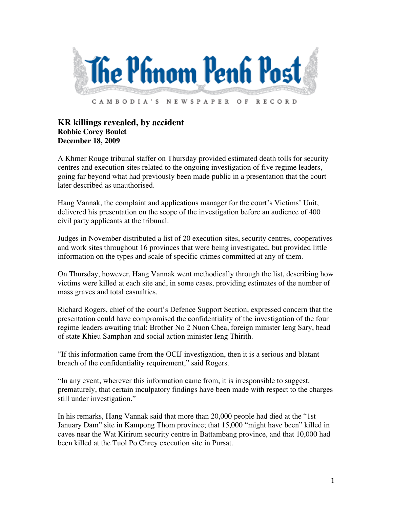

## **KR killings revealed, by accident Robbie Corey Boulet December 18, 2009**

A Khmer Rouge tribunal staffer on Thursday provided estimated death tolls for security centres and execution sites related to the ongoing investigation of five regime leaders, going far beyond what had previously been made public in a presentation that the court later described as unauthorised.

Hang Vannak, the complaint and applications manager for the court's Victims' Unit, delivered his presentation on the scope of the investigation before an audience of 400 civil party applicants at the tribunal.

Judges in November distributed a list of 20 execution sites, security centres, cooperatives and work sites throughout 16 provinces that were being investigated, but provided little information on the types and scale of specific crimes committed at any of them.

On Thursday, however, Hang Vannak went methodically through the list, describing how victims were killed at each site and, in some cases, providing estimates of the number of mass graves and total casualties.

Richard Rogers, chief of the court's Defence Support Section, expressed concern that the presentation could have compromised the confidentiality of the investigation of the four regime leaders awaiting trial: Brother No 2 Nuon Chea, foreign minister Ieng Sary, head of state Khieu Samphan and social action minister Ieng Thirith.

"If this information came from the OCIJ investigation, then it is a serious and blatant breach of the confidentiality requirement," said Rogers.

"In any event, wherever this information came from, it is irresponsible to suggest, prematurely, that certain inculpatory findings have been made with respect to the charges still under investigation."

In his remarks, Hang Vannak said that more than 20,000 people had died at the "1st January Dam" site in Kampong Thom province; that 15,000 "might have been" killed in caves near the Wat Kirirum security centre in Battambang province, and that 10,000 had been killed at the Tuol Po Chrey execution site in Pursat.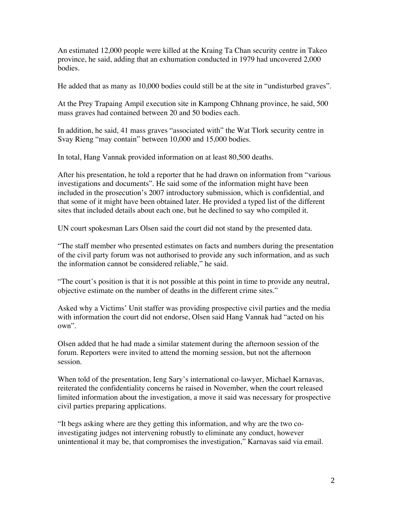An estimated 12,000 people were killed at the Kraing Ta Chan security centre in Takeo province, he said, adding that an exhumation conducted in 1979 had uncovered 2,000 bodies.

He added that as many as 10,000 bodies could still be at the site in "undisturbed graves".

At the Prey Trapaing Ampil execution site in Kampong Chhnang province, he said, 500 mass graves had contained between 20 and 50 bodies each.

In addition, he said, 41 mass graves "associated with" the Wat Tlork security centre in Svay Rieng "may contain" between 10,000 and 15,000 bodies.

In total, Hang Vannak provided information on at least 80,500 deaths.

After his presentation, he told a reporter that he had drawn on information from "various investigations and documents". He said some of the information might have been included in the prosecution's 2007 introductory submission, which is confidential, and that some of it might have been obtained later. He provided a typed list of the different sites that included details about each one, but he declined to say who compiled it.

UN court spokesman Lars Olsen said the court did not stand by the presented data.

"The staff member who presented estimates on facts and numbers during the presentation of the civil party forum was not authorised to provide any such information, and as such the information cannot be considered reliable," he said.

"The court's position is that it is not possible at this point in time to provide any neutral, objective estimate on the number of deaths in the different crime sites."

Asked why a Victims' Unit staffer was providing prospective civil parties and the media with information the court did not endorse, Olsen said Hang Vannak had "acted on his own".

Olsen added that he had made a similar statement during the afternoon session of the forum. Reporters were invited to attend the morning session, but not the afternoon session.

When told of the presentation, Ieng Sary's international co-lawyer, Michael Karnavas, reiterated the confidentiality concerns he raised in November, when the court released limited information about the investigation, a move it said was necessary for prospective civil parties preparing applications.

"It begs asking where are they getting this information, and why are the two coinvestigating judges not intervening robustly to eliminate any conduct, however unintentional it may be, that compromises the investigation," Karnavas said via email.